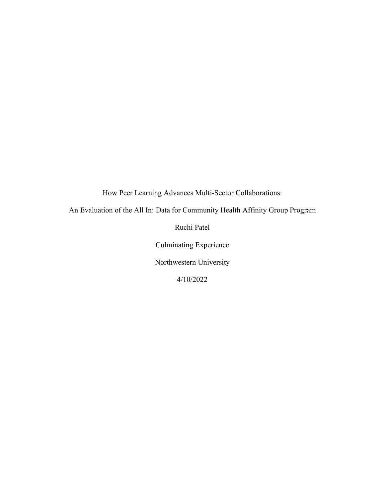How Peer Learning Advances Multi-Sector Collaborations:

An Evaluation of the All In: Data for Community Health Affinity Group Program

Ruchi Patel

Culminating Experience

Northwestern University

4/10/2022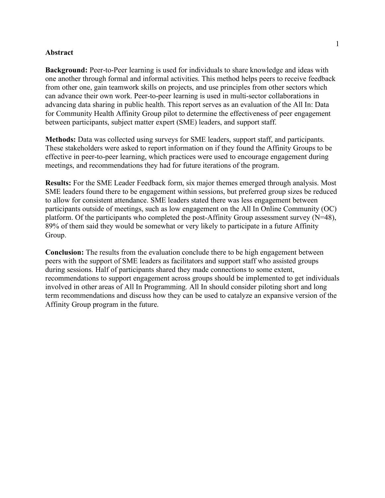## **Abstract**

**Background:** Peer-to-Peer learning is used for individuals to share knowledge and ideas with one another through formal and informal activities. This method helps peers to receive feedback from other one, gain teamwork skills on projects, and use principles from other sectors which can advance their own work. Peer-to-peer learning is used in multi-sector collaborations in advancing data sharing in public health. This report serves as an evaluation of the All In: Data for Community Health Affinity Group pilot to determine the effectiveness of peer engagement between participants, subject matter expert (SME) leaders, and support staff.

**Methods:** Data was collected using surveys for SME leaders, support staff, and participants. These stakeholders were asked to report information on if they found the Affinity Groups to be effective in peer-to-peer learning, which practices were used to encourage engagement during meetings, and recommendations they had for future iterations of the program.

**Results:** For the SME Leader Feedback form, six major themes emerged through analysis. Most SME leaders found there to be engagement within sessions, but preferred group sizes be reduced to allow for consistent attendance. SME leaders stated there was less engagement between participants outside of meetings, such as low engagement on the All In Online Community (OC) platform. Of the participants who completed the post-Affinity Group assessment survey (N=48), 89% of them said they would be somewhat or very likely to participate in a future Affinity Group.

**Conclusion:** The results from the evaluation conclude there to be high engagement between peers with the support of SME leaders as facilitators and support staff who assisted groups during sessions. Half of participants shared they made connections to some extent, recommendations to support engagement across groups should be implemented to get individuals involved in other areas of All In Programming. All In should consider piloting short and long term recommendations and discuss how they can be used to catalyze an expansive version of the Affinity Group program in the future.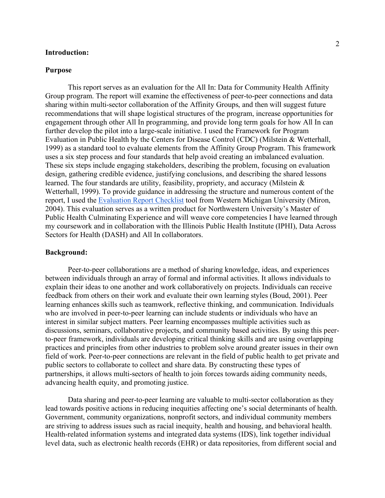## **Introduction:**

### **Purpose**

This report serves as an evaluation for the All In: Data for Community Health Affinity Group program. The report will examine the effectiveness of peer-to-peer connections and data sharing within multi-sector collaboration of the Affinity Groups, and then will suggest future recommendations that will shape logistical structures of the program, increase opportunities for engagement through other All In programming, and provide long term goals for how All In can further develop the pilot into a large-scale initiative. I used the Framework for Program Evaluation in Public Health by the Centers for Disease Control (CDC) (Milstein & Wetterhall, 1999) as a standard tool to evaluate elements from the Affinity Group Program. This framework uses a six step process and four standards that help avoid creating an imbalanced evaluation. These six steps include engaging stakeholders, describing the problem, focusing on evaluation design, gathering credible evidence, justifying conclusions, and describing the shared lessons learned. The four standards are utility, feasibility, propriety, and accuracy (Milstein & Wetterhall, 1999). To provide guidance in addressing the structure and numerous content of the report, I used the [Evaluation Report Checklist](https://wmich.edu/sites/default/files/attachments/u350/2018/eval-report-miron.pdf) tool from Western Michigan University (Miron, 2004). This evaluation serves as a written product for Northwestern University's Master of Public Health Culminating Experience and will weave core competencies I have learned through my coursework and in collaboration with the Illinois Public Health Institute (IPHI), Data Across Sectors for Health (DASH) and All In collaborators.

## **Background:**

Peer-to-peer collaborations are a method of sharing knowledge, ideas, and experiences between individuals through an array of formal and informal activities. It allows individuals to explain their ideas to one another and work collaboratively on projects. Individuals can receive feedback from others on their work and evaluate their own learning styles (Boud, 2001). Peer learning enhances skills such as teamwork, reflective thinking, and communication. Individuals who are involved in peer-to-peer learning can include students or individuals who have an interest in similar subject matters. Peer learning encompasses multiple activities such as discussions, seminars, collaborative projects, and community based activities. By using this peerto-peer framework, individuals are developing critical thinking skills and are using overlapping practices and principles from other industries to problem solve around greater issues in their own field of work. Peer-to-peer connections are relevant in the field of public health to get private and public sectors to collaborate to collect and share data. By constructing these types of partnerships, it allows multi-sectors of health to join forces towards aiding community needs, advancing health equity, and promoting justice.

Data sharing and peer-to-peer learning are valuable to multi-sector collaboration as they lead towards positive actions in reducing inequities affecting one's social determinants of health. Government, community organizations, nonprofit sectors, and individual community members are striving to address issues such as racial inequity, health and housing, and behavioral health. Health-related information systems and integrated data systems (IDS), link together individual level data, such as electronic health records (EHR) or data repositories, from different social and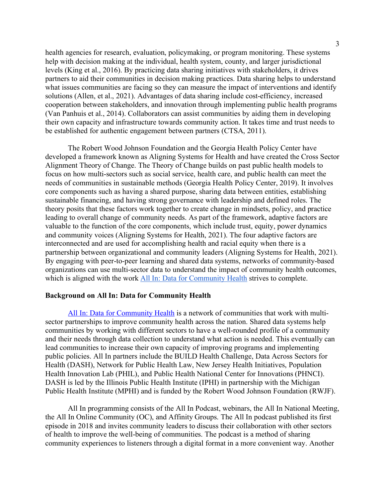health agencies for research, evaluation, policymaking, or program monitoring. These systems help with decision making at the individual, health system, county, and larger jurisdictional levels (King et al., 2016). By practicing data sharing initiatives with stakeholders, it drives partners to aid their communities in decision making practices. Data sharing helps to understand what issues communities are facing so they can measure the impact of interventions and identify solutions (Allen, et al., 2021). Advantages of data sharing include cost-efficiency, increased cooperation between stakeholders, and innovation through implementing public health programs (Van Panhuis et al., 2014). Collaborators can assist communities by aiding them in developing their own capacity and infrastructure towards community action. It takes time and trust needs to be established for authentic engagement between partners (CTSA, 2011).

The Robert Wood Johnson Foundation and the Georgia Health Policy Center have developed a framework known as Aligning Systems for Health and have created the Cross Sector Alignment Theory of Change. The Theory of Change builds on past public health models to focus on how multi-sectors such as social service, health care, and public health can meet the needs of communities in sustainable methods (Georgia Health Policy Center, 2019). It involves core components such as having a shared purpose, sharing data between entities, establishing sustainable financing, and having strong governance with leadership and defined roles. The theory posits that these factors work together to create change in mindsets, policy, and practice leading to overall change of community needs. As part of the framework, adaptive factors are valuable to the function of the core components, which include trust, equity, power dynamics and community voices (Aligning Systems for Health, 2021). The four adaptive factors are interconnected and are used for accomplishing health and racial equity when there is a partnership between organizational and community leaders (Aligning Systems for Health, 2021). By engaging with peer-to-peer learning and shared data systems, networks of community-based organizations can use multi-sector data to understand the impact of community health outcomes, which is aligned with the work [All In: Data for Community Health](https://www.allindata.org/) strives to complete.

## **Background on All In: Data for Community Health**

[All In: Data for Community Health](https://www.allindata.org/) is a network of communities that work with multisector partnerships to improve community health across the nation. Shared data systems help communities by working with different sectors to have a well-rounded profile of a community and their needs through data collection to understand what action is needed. This eventually can lead communities to increase their own capacity of improving programs and implementing public policies. All In partners include the BUILD Health Challenge, Data Across Sectors for Health (DASH), Network for Public Health Law, New Jersey Health Initiatives, Population Health Innovation Lab (PHIL), and Public Health National Center for Innovations (PHNCI). DASH is led by the Illinois Public Health Institute (IPHI) in partnership with the Michigan Public Health Institute (MPHI) and is funded by the Robert Wood Johnson Foundation (RWJF).

All In programming consists of the All In Podcast, webinars, the All In National Meeting, the All In Online Community (OC), and Affinity Groups. The All In podcast published its first episode in 2018 and invites community leaders to discuss their collaboration with other sectors of health to improve the well-being of communities. The podcast is a method of sharing community experiences to listeners through a digital format in a more convenient way. Another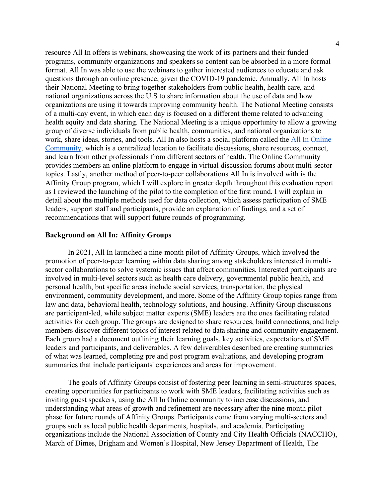resource All In offers is webinars, showcasing the work of its partners and their funded programs, community organizations and speakers so content can be absorbed in a more formal format. All In was able to use the webinars to gather interested audiences to educate and ask questions through an online presence, given the COVID-19 pandemic. Annually, All In hosts their National Meeting to bring together stakeholders from public health, health care, and national organizations across the U.S to share information about the use of data and how organizations are using it towards improving community health. The National Meeting consists of a multi-day event, in which each day is focused on a different theme related to advancing health equity and data sharing. The National Meeting is a unique opportunity to allow a growing group of diverse individuals from public health, communities, and national organizations to work, share ideas, stories, and tools. All In also hosts a social platform called the [All In Online](https://community.allindata.org/home)  [Community,](https://community.allindata.org/home) which is a centralized location to facilitate discussions, share resources, connect, and learn from other professionals from different sectors of health. The Online Community provides members an online platform to engage in virtual discussion forums about multi-sector topics. Lastly, another method of peer-to-peer collaborations All In is involved with is the Affinity Group program, which I will explore in greater depth throughout this evaluation report as I reviewed the launching of the pilot to the completion of the first round. I will explain in detail about the multiple methods used for data collection, which assess participation of SME leaders, support staff and participants, provide an explanation of findings, and a set of recommendations that will support future rounds of programming.

## **Background on All In: Affinity Groups**

In 2021, All In launched a nine-month pilot of Affinity Groups, which involved the promotion of peer-to-peer learning within data sharing among stakeholders interested in multisector collaborations to solve systemic issues that affect communities. Interested participants are involved in multi-level sectors such as health care delivery, governmental public health, and personal health, but specific areas include social services, transportation, the physical environment, community development, and more. Some of the Affinity Group topics range from law and data, behavioral health, technology solutions, and housing. Affinity Group discussions are participant-led, while subject matter experts (SME) leaders are the ones facilitating related activities for each group. The groups are designed to share resources, build connections, and help members discover different topics of interest related to data sharing and community engagement. Each group had a document outlining their learning goals, key activities, expectations of SME leaders and participants, and deliverables. A few deliverables described are creating summaries of what was learned, completing pre and post program evaluations, and developing program summaries that include participants' experiences and areas for improvement.

The goals of Affinity Groups consist of fostering peer learning in semi-structures spaces, creating opportunities for participants to work with SME leaders, facilitating activities such as inviting guest speakers, using the All In Online community to increase discussions, and understanding what areas of growth and refinement are necessary after the nine month pilot phase for future rounds of Affinity Groups. Participants come from varying multi-sectors and groups such as local public health departments, hospitals, and academia. Participating organizations include the National Association of County and City Health Officials (NACCHO), March of Dimes, Brigham and Women's Hospital, New Jersey Department of Health, The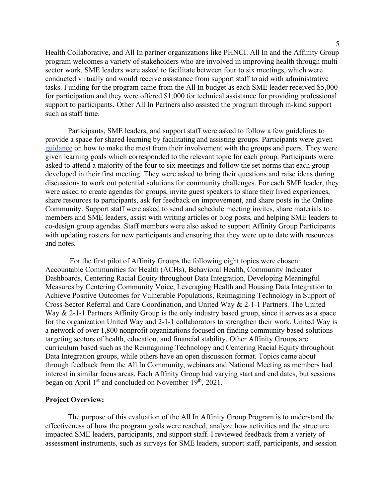Health Collaborative, and All In partner organizations like PHNCI. All In and the Affinity Group program welcomes a variety of stakeholders who are involved in improving health through multi sector work. SME leaders were asked to facilitate between four to six meetings, which were conducted virtually and would receive assistance from support staff to aid with administrative tasks. Funding for the program came from the All In budget as each SME leader received \$5,000 for participation and they were offered \$1,000 for technical assistance for providing professional support to participants. Other All In Partners also assisted the program through in-kind support such as staff time.

Participants, SME leaders, and support staff were asked to follow a few guidelines to provide a space for shared learning by facilitating and assisting groups. Participants were given [guidance](https://www.allindata.org/wp-content/uploads/2021/03/All-In-Affinity-Group-Participant-Expectations-.pdf) on how to make the most from their involvement with the groups and peers. They were given learning goals which corresponded to the relevant topic for each group. Participants were asked to attend a majority of the four to six meetings and follow the set norms that each group developed in their first meeting. They were asked to bring their questions and raise ideas during discussions to work out potential solutions for community challenges. For each SME leader, they were asked to create agendas for groups, invite guest speakers to share their lived experiences, share resources to participants, ask for feedback on improvement, and share posts in the Online Community. Support staff were asked to send and schedule meeting invites, share materials to members and SME leaders, assist with writing articles or blog posts, and helping SME leaders to co-design group agendas. Staff members were also asked to support Affinity Group Participants with updating rosters for new participants and ensuring that they were up to date with resources and notes.

For the first pilot of Affinity Groups the following eight topics were chosen: Accountable Communities for Health (ACHs), Behavioral Health, Community Indicator Dashboards, Centering Racial Equity throughout Data Integration, Developing Meaningful Measures by Centering Community Voice, Leveraging Health and Housing Data Integration to Achieve Positive Outcomes for Vulnerable Populations, Reimagining Technology in Support of Cross-Sector Referral and Care Coordination, and United Way & 2-1-1 Partners. The United Way & 2-1-1 Partners Affinity Group is the only industry based group, since it serves as a space for the organization United Way and 2-1-1 collaborators to strengthen their work. United Way is a network of over 1,800 nonprofit organizations focused on finding community based solutions targeting sectors of health, education, and financial stability. Other Affinity Groups are curriculum based such as the Reimagining Technology and Centering Racial Equity throughout Data Integration groups, while others have an open discussion format. Topics came about through feedback from the All In Community, webinars and National Meeting as members had interest in similar focus areas. Each Affinity Group had varying start and end dates, but sessions began on April  $1<sup>st</sup>$  and concluded on November  $19<sup>th</sup>$ , 2021.

## **Project Overview:**

The purpose of this evaluation of the All In Affinity Group Program is to understand the effectiveness of how the program goals were reached, analyze how activities and the structure impacted SME leaders, participants, and support staff. I reviewed feedback from a variety of assessment instruments, such as surveys for SME leaders, support staff, participants, and session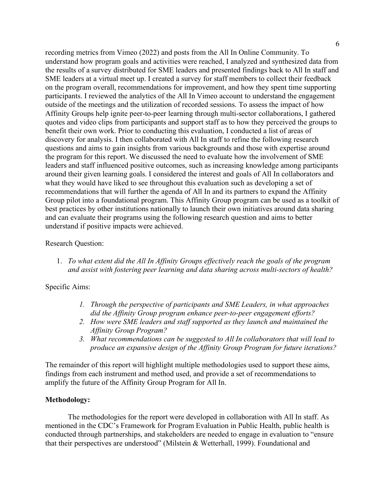recording metrics from Vimeo (2022) and posts from the All In Online Community. To understand how program goals and activities were reached, I analyzed and synthesized data from the results of a survey distributed for SME leaders and presented findings back to All In staff and SME leaders at a virtual meet up. I created a survey for staff members to collect their feedback on the program overall, recommendations for improvement, and how they spent time supporting participants. I reviewed the analytics of the All In Vimeo account to understand the engagement outside of the meetings and the utilization of recorded sessions. To assess the impact of how Affinity Groups help ignite peer-to-peer learning through multi-sector collaborations, I gathered quotes and video clips from participants and support staff as to how they perceived the groups to benefit their own work. Prior to conducting this evaluation, I conducted a list of areas of discovery for analysis. I then collaborated with All In staff to refine the following research questions and aims to gain insights from various backgrounds and those with expertise around the program for this report. We discussed the need to evaluate how the involvement of SME leaders and staff influenced positive outcomes, such as increasing knowledge among participants around their given learning goals. I considered the interest and goals of All In collaborators and what they would have liked to see throughout this evaluation such as developing a set of recommendations that will further the agenda of All In and its partners to expand the Affinity Group pilot into a foundational program. This Affinity Group program can be used as a toolkit of best practices by other institutions nationally to launch their own initiatives around data sharing and can evaluate their programs using the following research question and aims to better understand if positive impacts were achieved.

# Research Question:

1. *To what extent did the All In Affinity Groups effectively reach the goals of the program and assist with fostering peer learning and data sharing across multi-sectors of health?*

# Specific Aims:

- *1. Through the perspective of participants and SME Leaders, in what approaches did the Affinity Group program enhance peer-to-peer engagement efforts?*
- *2. How were SME leaders and staff supported as they launch and maintained the Affinity Group Program?*
- *3. What recommendations can be suggested to All In collaborators that will lead to produce an expansive design of the Affinity Group Program for future iterations?*

The remainder of this report will highlight multiple methodologies used to support these aims, findings from each instrument and method used, and provide a set of recommendations to amplify the future of the Affinity Group Program for All In.

# **Methodology:**

The methodologies for the report were developed in collaboration with All In staff. As mentioned in the CDC's Framework for Program Evaluation in Public Health, public health is conducted through partnerships, and stakeholders are needed to engage in evaluation to "ensure that their perspectives are understood" (Milstein & Wetterhall, 1999). Foundational and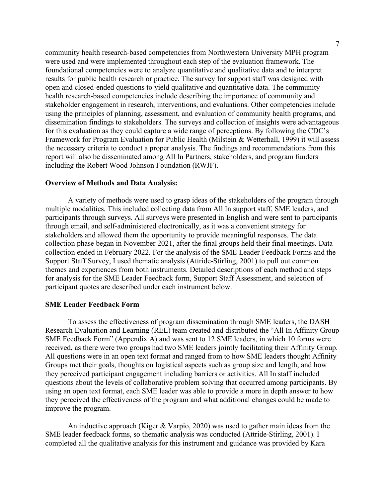community health research-based competencies from Northwestern University MPH program were used and were implemented throughout each step of the evaluation framework. The foundational competencies were to analyze quantitative and qualitative data and to interpret results for public health research or practice. The survey for support staff was designed with open and closed-ended questions to yield qualitative and quantitative data. The community health research-based competencies include describing the importance of community and stakeholder engagement in research, interventions, and evaluations. Other competencies include using the principles of planning, assessment, and evaluation of community health programs, and dissemination findings to stakeholders. The surveys and collection of insights were advantageous for this evaluation as they could capture a wide range of perceptions. By following the CDC's Framework for Program Evaluation for Public Health (Milstein & Wetterhall, 1999) it will assess the necessary criteria to conduct a proper analysis. The findings and recommendations from this report will also be disseminated among All In Partners, stakeholders, and program funders including the Robert Wood Johnson Foundation (RWJF).

### **Overview of Methods and Data Analysis:**

A variety of methods were used to grasp ideas of the stakeholders of the program through multiple modalities. This included collecting data from All In support staff, SME leaders, and participants through surveys. All surveys were presented in English and were sent to participants through email, and self-administered electronically, as it was a convenient strategy for stakeholders and allowed them the opportunity to provide meaningful responses. The data collection phase began in November 2021, after the final groups held their final meetings. Data collection ended in February 2022. For the analysis of the SME Leader Feedback Forms and the Support Staff Survey, I used thematic analysis (Attride-Stirling, 2001) to pull out common themes and experiences from both instruments. Detailed descriptions of each method and steps for analysis for the SME Leader Feedback form, Support Staff Assessment, and selection of participant quotes are described under each instrument below.

### **SME Leader Feedback Form**

To assess the effectiveness of program dissemination through SME leaders, the DASH Research Evaluation and Learning (REL) team created and distributed the "All In Affinity Group SME Feedback Form" (Appendix A) and was sent to 12 SME leaders, in which 10 forms were received, as there were two groups had two SME leaders jointly facilitating their Affinity Group. All questions were in an open text format and ranged from to how SME leaders thought Affinity Groups met their goals, thoughts on logistical aspects such as group size and length, and how they perceived participant engagement including barriers or activities. All In staff included questions about the levels of collaborative problem solving that occurred among participants. By using an open text format, each SME leader was able to provide a more in depth answer to how they perceived the effectiveness of the program and what additional changes could be made to improve the program.

An inductive approach (Kiger & Varpio, 2020) was used to gather main ideas from the SME leader feedback forms, so thematic analysis was conducted (Attride-Stirling, 2001). I completed all the qualitative analysis for this instrument and guidance was provided by Kara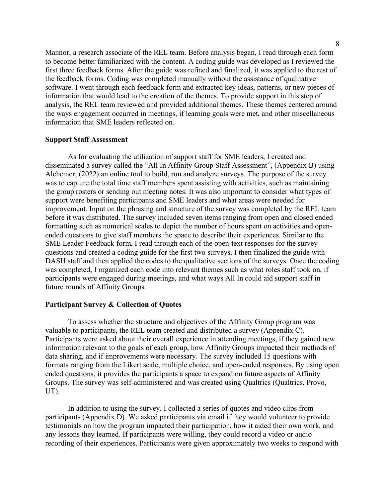Mannor, a research associate of the REL team. Before analysis began, I read through each form to become better familiarized with the content. A coding guide was developed as I reviewed the first three feedback forms. After the guide was refined and finalized, it was applied to the rest of the feedback forms. Coding was completed manually without the assistance of qualitative software. I went through each feedback form and extracted key ideas, patterns, or new pieces of information that would lead to the creation of the themes. To provide support in this step of analysis, the REL team reviewed and provided additional themes. These themes centered around the ways engagement occurred in meetings, if learning goals were met, and other miscellaneous information that SME leaders reflected on.

### **Support Staff Assessment**

As for evaluating the utilization of support staff for SME leaders, I created and disseminated a survey called the "All In Affinity Group Staff Assessment", (Appendix B) using Alchemer, (2022) an online tool to build, run and analyze surveys. The purpose of the survey was to capture the total time staff members spent assisting with activities, such as maintaining the group rosters or sending out meeting notes. It was also important to consider what types of support were benefiting participants and SME leaders and what areas were needed for improvement. Input on the phrasing and structure of the survey was completed by the REL team before it was distributed. The survey included seven items ranging from open and closed ended formatting such as numerical scales to depict the number of hours spent on activities and openended questions to give staff members the space to describe their experiences. Similar to the SME Leader Feedback form, I read through each of the open-text responses for the survey questions and created a coding guide for the first two surveys. I then finalized the guide with DASH staff and then applied the codes to the qualitative sections of the surveys. Once the coding was completed, I organized each code into relevant themes such as what roles staff took on, if participants were engaged during meetings, and what ways All In could aid support staff in future rounds of Affinity Groups.

### **Participant Survey & Collection of Quotes**

To assess whether the structure and objectives of the Affinity Group program was valuable to participants, the REL team created and distributed a survey (Appendix C). Participants were asked about their overall experience in attending meetings, if they gained new information relevant to the goals of each group, how Affinity Groups impacted their methods of data sharing, and if improvements were necessary. The survey included 15 questions with formats ranging from the Likert scale, multiple choice, and open-ended responses. By using open ended questions, it provides the participants a space to expand on future aspects of Affinity Groups. The survey was self-administered and was created using Qualtrics (Qualtrics, Provo, UT).

In addition to using the survey, I collected a series of quotes and video clips from participants (Appendix D). We asked participants via email if they would volunteer to provide testimonials on how the program impacted their participation, how it aided their own work, and any lessons they learned. If participants were willing, they could record a video or audio recording of their experiences. Participants were given approximately two weeks to respond with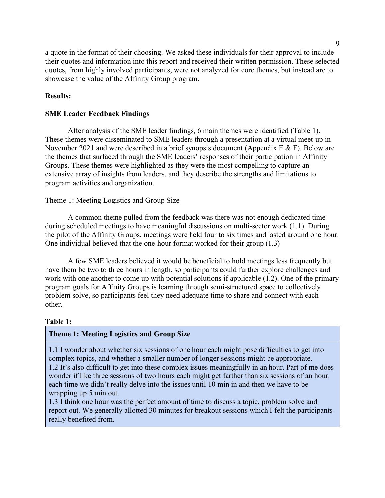a quote in the format of their choosing. We asked these individuals for their approval to include their quotes and information into this report and received their written permission. These selected quotes, from highly involved participants, were not analyzed for core themes, but instead are to showcase the value of the Affinity Group program.

# **Results:**

# **SME Leader Feedback Findings**

After analysis of the SME leader findings, 6 main themes were identified (Table 1). These themes were disseminated to SME leaders through a presentation at a virtual meet-up in November 2021 and were described in a brief synopsis document (Appendix E & F). Below are the themes that surfaced through the SME leaders' responses of their participation in Affinity Groups. These themes were highlighted as they were the most compelling to capture an extensive array of insights from leaders, and they describe the strengths and limitations to program activities and organization.

# Theme 1: Meeting Logistics and Group Size

A common theme pulled from the feedback was there was not enough dedicated time during scheduled meetings to have meaningful discussions on multi-sector work (1.1). During the pilot of the Affinity Groups, meetings were held four to six times and lasted around one hour. One individual believed that the one-hour format worked for their group (1.3)

A few SME leaders believed it would be beneficial to hold meetings less frequently but have them be two to three hours in length, so participants could further explore challenges and work with one another to come up with potential solutions if applicable (1.2). One of the primary program goals for Affinity Groups is learning through semi-structured space to collectively problem solve, so participants feel they need adequate time to share and connect with each other.

# **Table 1:**

# **Theme 1: Meeting Logistics and Group Size**

1.1 I wonder about whether six sessions of one hour each might pose difficulties to get into complex topics, and whether a smaller number of longer sessions might be appropriate. 1.2 It's also difficult to get into these complex issues meaningfully in an hour. Part of me does wonder if like three sessions of two hours each might get farther than six sessions of an hour. each time we didn't really delve into the issues until 10 min in and then we have to be wrapping up 5 min out.

1.3 I think one hour was the perfect amount of time to discuss a topic, problem solve and report out. We generally allotted 30 minutes for breakout sessions which I felt the participants really benefited from.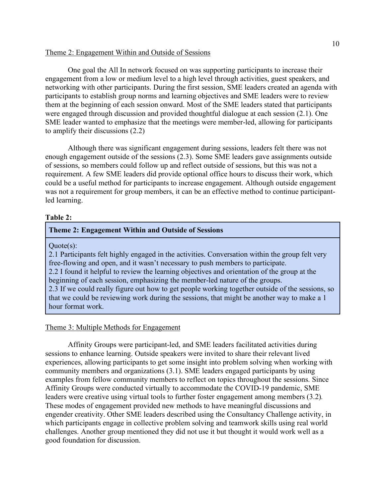## Theme 2: Engagement Within and Outside of Sessions

One goal the All In network focused on was supporting participants to increase their engagement from a low or medium level to a high level through activities, guest speakers, and networking with other participants. During the first session, SME leaders created an agenda with participants to establish group norms and learning objectives and SME leaders were to review them at the beginning of each session onward. Most of the SME leaders stated that participants were engaged through discussion and provided thoughtful dialogue at each session (2.1). One SME leader wanted to emphasize that the meetings were member-led, allowing for participants to amplify their discussions (2.2)

Although there was significant engagement during sessions, leaders felt there was not enough engagement outside of the sessions (2.3). Some SME leaders gave assignments outside of sessions, so members could follow up and reflect outside of sessions, but this was not a requirement. A few SME leaders did provide optional office hours to discuss their work, which could be a useful method for participants to increase engagement. Although outside engagement was not a requirement for group members, it can be an effective method to continue participantled learning.

## **Table 2:**

## **Theme 2: Engagement Within and Outside of Sessions**

Quote(s):

2.1 Participants felt highly engaged in the activities. Conversation within the group felt very free-flowing and open, and it wasn't necessary to push members to participate. 2.2 I found it helpful to review the learning objectives and orientation of the group at the beginning of each session, emphasizing the member-led nature of the groups. 2.3 If we could really figure out how to get people working together outside of the sessions, so that we could be reviewing work during the sessions, that might be another way to make a 1 hour format work.

### Theme 3: Multiple Methods for Engagement

Affinity Groups were participant-led, and SME leaders facilitated activities during sessions to enhance learning. Outside speakers were invited to share their relevant lived experiences, allowing participants to get some insight into problem solving when working with community members and organizations (3.1). SME leaders engaged participants by using examples from fellow community members to reflect on topics throughout the sessions. Since Affinity Groups were conducted virtually to accommodate the COVID-19 pandemic, SME leaders were creative using virtual tools to further foster engagement among members (3.2)*.*  These modes of engagement provided new methods to have meaningful discussions and engender creativity. Other SME leaders described using the Consultancy Challenge activity, in which participants engage in collective problem solving and teamwork skills using real world challenges. Another group mentioned they did not use it but thought it would work well as a good foundation for discussion.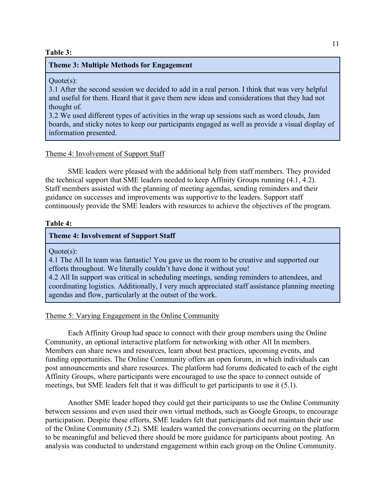## **Table 3:**

## **Theme 3: Multiple Methods for Engagement**

 $Quote(s)$ :

3.1 After the second session we decided to add in a real person. I think that was very helpful and useful for them. Heard that it gave them new ideas and considerations that they had not thought of.

3.2 We used different types of activities in the wrap up sessions such as word clouds, Jam boards, and sticky notes to keep our participants engaged as well as provide a visual display of information presented.

#### Theme 4: Involvement of Support Staff

SME leaders were pleased with the additional help from staff members. They provided the technical support that SME leaders needed to keep Affinity Groups running (4.1, 4.2). Staff members assisted with the planning of meeting agendas, sending reminders and their guidance on successes and improvements was supportive to the leaders. Support staff continuously provide the SME leaders with resources to achieve the objectives of the program.

#### **Table 4:**

# **Theme 4: Involvement of Support Staff**

Quote(s):

4.1 The All In team was fantastic! You gave us the room to be creative and supported our efforts throughout. We literally couldn't have done it without you!

4.2 All In support was critical in scheduling meetings, sending reminders to attendees, and coordinating logistics. Additionally, I very much appreciated staff assistance planning meeting agendas and flow, particularly at the outset of the work.

### Theme 5: Varying Engagement in the Online Community

Each Affinity Group had space to connect with their group members using the Online Community, an optional interactive platform for networking with other All In members. Members can share news and resources, learn about best practices, upcoming events, and funding opportunities. The Online Community offers an open forum, in which individuals can post announcements and share resources. The platform had forums dedicated to each of the eight Affinity Groups, where participants were encouraged to use the space to connect outside of meetings, but SME leaders felt that it was difficult to get participants to use it (5.1).

Another SME leader hoped they could get their participants to use the Online Community between sessions and even used their own virtual methods, such as Google Groups, to encourage participation. Despite these efforts, SME leaders felt that participants did not maintain their use of the Online Community (5.2). SME leaders wanted the conversations occurring on the platform to be meaningful and believed there should be more guidance for participants about posting. An analysis was conducted to understand engagement within each group on the Online Community.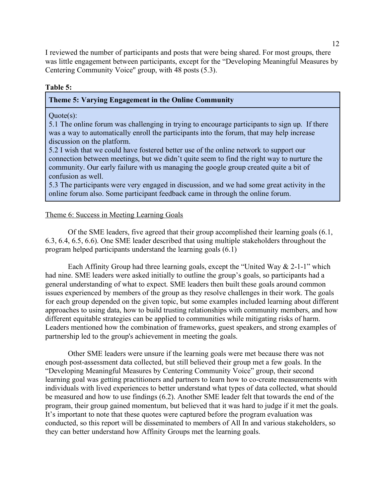I reviewed the number of participants and posts that were being shared. For most groups, there was little engagement between participants, except for the "Developing Meaningful Measures by Centering Community Voice'' group, with 48 posts (5.3).

## **Table 5:**

## **Theme 5: Varying Engagement in the Online Community**

### Quote(s):

5.1 The online forum was challenging in trying to encourage participants to sign up. If there was a way to automatically enroll the participants into the forum, that may help increase discussion on the platform.

5.2 I wish that we could have fostered better use of the online network to support our connection between meetings, but we didn't quite seem to find the right way to nurture the community. Our early failure with us managing the google group created quite a bit of confusion as well.

5.3 The participants were very engaged in discussion, and we had some great activity in the online forum also. Some participant feedback came in through the online forum.

## Theme 6: Success in Meeting Learning Goals

Of the SME leaders, five agreed that their group accomplished their learning goals (6.1, 6.3, 6.4, 6.5, 6.6). One SME leader described that using multiple stakeholders throughout the program helped participants understand the learning goals (6.1)

Each Affinity Group had three learning goals, except the "United Way & 2-1-1" which had nine. SME leaders were asked initially to outline the group's goals, so participants had a general understanding of what to expect. SME leaders then built these goals around common issues experienced by members of the group as they resolve challenges in their work. The goals for each group depended on the given topic, but some examples included learning about different approaches to using data, how to build trusting relationships with community members, and how different equitable strategies can be applied to communities while mitigating risks of harm. Leaders mentioned how the combination of frameworks, guest speakers, and strong examples of partnership led to the group's achievement in meeting the goals.

Other SME leaders were unsure if the learning goals were met because there was not enough post-assessment data collected, but still believed their group met a few goals. In the "Developing Meaningful Measures by Centering Community Voice" group, their second learning goal was getting practitioners and partners to learn how to co-create measurements with individuals with lived experiences to better understand what types of data collected, what should be measured and how to use findings (6.2). Another SME leader felt that towards the end of the program, their group gained momentum, but believed that it was hard to judge if it met the goals. It's important to note that these quotes were captured before the program evaluation was conducted, so this report will be disseminated to members of All In and various stakeholders, so they can better understand how Affinity Groups met the learning goals.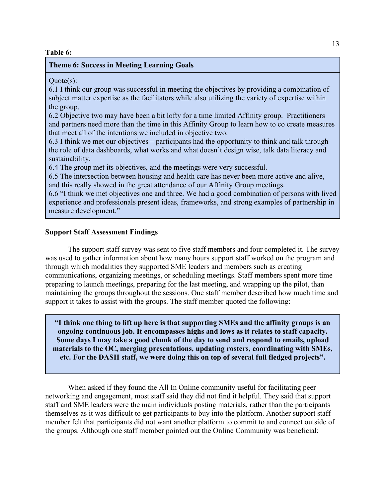### **Table 6:**

## **Theme 6: Success in Meeting Learning Goals**

 $Quote(s)$ :

6.1 I think our group was successful in meeting the objectives by providing a combination of subject matter expertise as the facilitators while also utilizing the variety of expertise within the group.

6.2 Objective two may have been a bit lofty for a time limited Affinity group. Practitioners and partners need more than the time in this Affinity Group to learn how to co create measures that meet all of the intentions we included in objective two.

6.3 I think we met our objectives – participants had the opportunity to think and talk through the role of data dashboards, what works and what doesn't design wise, talk data literacy and sustainability.

6.4 The group met its objectives, and the meetings were very successful.

6.5 The intersection between housing and health care has never been more active and alive, and this really showed in the great attendance of our Affinity Group meetings.

6.6 "I think we met objectives one and three. We had a good combination of persons with lived experience and professionals present ideas, frameworks, and strong examples of partnership in measure development."

## **Support Staff Assessment Findings**

The support staff survey was sent to five staff members and four completed it. The survey was used to gather information about how many hours support staff worked on the program and through which modalities they supported SME leaders and members such as creating communications, organizing meetings, or scheduling meetings. Staff members spent more time preparing to launch meetings, preparing for the last meeting, and wrapping up the pilot, than maintaining the groups throughout the sessions. One staff member described how much time and support it takes to assist with the groups. The staff member quoted the following:

**"I think one thing to lift up here is that supporting SMEs and the affinity groups is an ongoing continuous job. It encompasses highs and lows as it relates to staff capacity. Some days I may take a good chunk of the day to send and respond to emails, upload materials to the OC, merging presentations, updating rosters, coordinating with SMEs, etc. For the DASH staff, we were doing this on top of several full fledged projects".**

When asked if they found the All In Online community useful for facilitating peer networking and engagement, most staff said they did not find it helpful. They said that support staff and SME leaders were the main individuals posting materials, rather than the participants themselves as it was difficult to get participants to buy into the platform. Another support staff member felt that participants did not want another platform to commit to and connect outside of the groups. Although one staff member pointed out the Online Community was beneficial: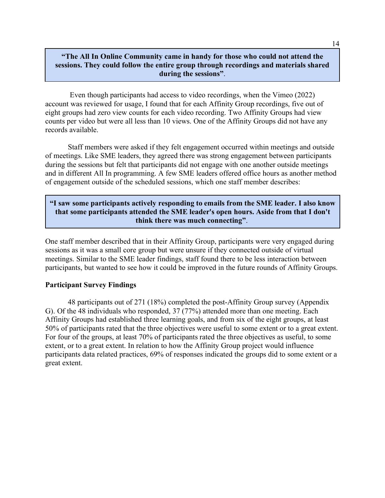# **"The All In Online Community came in handy for those who could not attend the sessions. They could follow the entire group through recordings and materials shared during the sessions"**.

Even though participants had access to video recordings, when the Vimeo (2022) account was reviewed for usage, I found that for each Affinity Group recordings, five out of eight groups had zero view counts for each video recording. Two Affinity Groups had view counts per video but were all less than 10 views. One of the Affinity Groups did not have any records available.

Staff members were asked if they felt engagement occurred within meetings and outside of meetings. Like SME leaders, they agreed there was strong engagement between participants during the sessions but felt that participants did not engage with one another outside meetings and in different All In programming. A few SME leaders offered office hours as another method of engagement outside of the scheduled sessions, which one staff member describes:

# **"I saw some participants actively responding to emails from the SME leader. I also know that some participants attended the SME leader's open hours. Aside from that I don't think there was much connecting"**.

One staff member described that in their Affinity Group, participants were very engaged during sessions as it was a small core group but were unsure if they connected outside of virtual meetings. Similar to the SME leader findings, staff found there to be less interaction between participants, but wanted to see how it could be improved in the future rounds of Affinity Groups.

# **Participant Survey Findings**

48 participants out of 271 (18%) completed the post-Affinity Group survey (Appendix G). Of the 48 individuals who responded, 37 (77%) attended more than one meeting. Each Affinity Groups had established three learning goals, and from six of the eight groups, at least 50% of participants rated that the three objectives were useful to some extent or to a great extent. For four of the groups, at least 70% of participants rated the three objectives as useful, to some extent, or to a great extent. In relation to how the Affinity Group project would influence participants data related practices, 69% of responses indicated the groups did to some extent or a great extent.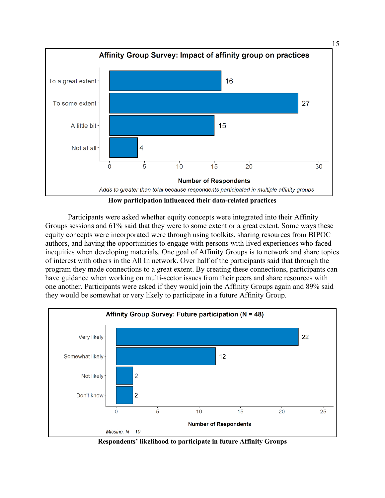

Participants were asked whether equity concepts were integrated into their Affinity Groups sessions and 61% said that they were to some extent or a great extent. Some ways these equity concepts were incorporated were through using toolkits, sharing resources from BIPOC authors, and having the opportunities to engage with persons with lived experiences who faced inequities when developing materials. One goal of Affinity Groups is to network and share topics of interest with others in the All In network. Over half of the participants said that through the program they made connections to a great extent. By creating these connections, participants can have guidance when working on multi-sector issues from their peers and share resources with one another. Participants were asked if they would join the Affinity Groups again and 89% said they would be somewhat or very likely to participate in a future Affinity Group.



**Respondents' likelihood to participate in future Affinity Groups**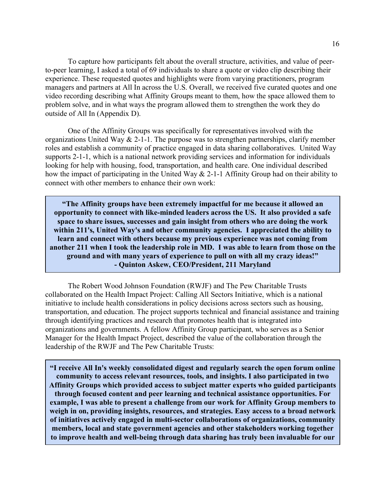To capture how participants felt about the overall structure, activities, and value of peerto-peer learning, I asked a total of 69 individuals to share a quote or video clip describing their experience. These requested quotes and highlights were from varying practitioners, program managers and partners at All In across the U.S. Overall, we received five curated quotes and one video recording describing what Affinity Groups meant to them, how the space allowed them to problem solve, and in what ways the program allowed them to strengthen the work they do outside of All In (Appendix D).

One of the Affinity Groups was specifically for representatives involved with the organizations United Way  $& 2$ -1-1. The purpose was to strengthen partnerships, clarify member roles and establish a community of practice engaged in data sharing collaboratives. United Way supports 2-1-1, which is a national network providing services and information for individuals looking for help with housing, food, transportation, and health care. One individual described how the impact of participating in the United Way & 2-1-1 Affinity Group had on their ability to connect with other members to enhance their own work:

**"The Affinity groups have been extremely impactful for me because it allowed an opportunity to connect with like-minded leaders across the US. It also provided a safe space to share issues, successes and gain insight from others who are doing the work within 211's, United Way's and other community agencies. I appreciated the ability to learn and connect with others because my previous experience was not coming from another 211 when I took the leadership role in MD. I was able to learn from those on the ground and with many years of experience to pull on with all my crazy ideas!" - Quinton Askew, CEO/President, 211 Maryland**

The Robert Wood Johnson Foundation (RWJF) and The Pew Charitable Trusts collaborated on the Health Impact Project: Calling All Sectors Initiative, which is a national initiative to include health considerations in policy decisions across sectors such as housing, transportation, and education. The project supports technical and financial assistance and training through identifying practices and research that promotes health that is integrated into organizations and governments. A fellow Affinity Group participant, who serves as a Senior Manager for the Health Impact Project, described the value of the collaboration through the leadership of the RWJF and The Pew Charitable Trusts:

**"I receive All In's weekly consolidated digest and regularly search the open forum online community to access relevant resources, tools, and insights. I also participated in two Affinity Groups which provided access to subject matter experts who guided participants through focused content and peer learning and technical assistance opportunities. For example, I was able to present a challenge from our work for Affinity Group members to weigh in on, providing insights, resources, and strategies. Easy access to a broad network of initiatives actively engaged in multi-sector collaborations of organizations, community members, local and state government agencies and other stakeholders working together to improve health and well-being through data sharing has truly been invaluable for our**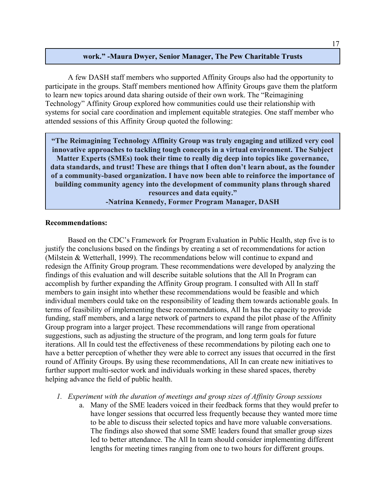# **work." -Maura Dwyer, Senior Manager, The Pew Charitable Trusts**

A few DASH staff members who supported Affinity Groups also had the opportunity to participate in the groups. Staff members mentioned how Affinity Groups gave them the platform to learn new topics around data sharing outside of their own work. The "Reimagining Technology" Affinity Group explored how communities could use their relationship with systems for social care coordination and implement equitable strategies. One staff member who attended sessions of this Affinity Group quoted the following:

**"The Reimagining Technology Affinity Group was truly engaging and utilized very cool innovative approaches to tackling tough concepts in a virtual environment. The Subject Matter Experts (SMEs) took their time to really dig deep into topics like governance, data standards, and trust! These are things that I often don't learn about, as the founder of a community-based organization. I have now been able to reinforce the importance of building community agency into the development of community plans through shared resources and data equity."**

**-Natrina Kennedy, Former Program Manager, DASH**

### **Recommendations:**

Based on the CDC's Framework for Program Evaluation in Public Health, step five is to justify the conclusions based on the findings by creating a set of recommendations for action (Milstein & Wetterhall, 1999). The recommendations below will continue to expand and redesign the Affinity Group program. These recommendations were developed by analyzing the findings of this evaluation and will describe suitable solutions that the All In Program can accomplish by further expanding the Affinity Group program. I consulted with All In staff members to gain insight into whether these recommendations would be feasible and which individual members could take on the responsibility of leading them towards actionable goals. In terms of feasibility of implementing these recommendations, All In has the capacity to provide funding, staff members, and a large network of partners to expand the pilot phase of the Affinity Group program into a larger project. These recommendations will range from operational suggestions, such as adjusting the structure of the program, and long term goals for future iterations. All In could test the effectiveness of these recommendations by piloting each one to have a better perception of whether they were able to correct any issues that occurred in the first round of Affinity Groups. By using these recommendations, All In can create new initiatives to further support multi-sector work and individuals working in these shared spaces, thereby helping advance the field of public health.

- *1. Experiment with the duration of meetings and group sizes of Affinity Group sessions*
	- a. Many of the SME leaders voiced in their feedback forms that they would prefer to have longer sessions that occurred less frequently because they wanted more time to be able to discuss their selected topics and have more valuable conversations. The findings also showed that some SME leaders found that smaller group sizes led to better attendance. The All In team should consider implementing different lengths for meeting times ranging from one to two hours for different groups.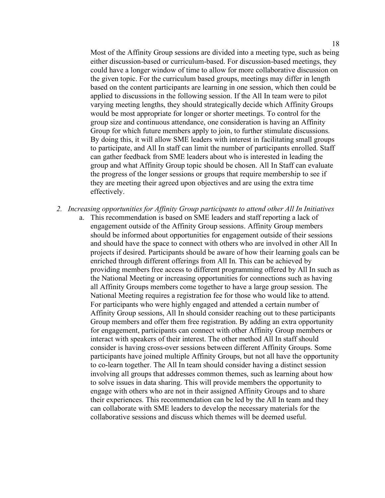Most of the Affinity Group sessions are divided into a meeting type, such as being either discussion-based or curriculum-based. For discussion-based meetings, they could have a longer window of time to allow for more collaborative discussion on the given topic. For the curriculum based groups, meetings may differ in length based on the content participants are learning in one session, which then could be applied to discussions in the following session. If the All In team were to pilot varying meeting lengths, they should strategically decide which Affinity Groups would be most appropriate for longer or shorter meetings. To control for the group size and continuous attendance, one consideration is having an Affinity Group for which future members apply to join, to further stimulate discussions. By doing this, it will allow SME leaders with interest in facilitating small groups to participate, and All In staff can limit the number of participants enrolled. Staff can gather feedback from SME leaders about who is interested in leading the group and what Affinity Group topic should be chosen. All In Staff can evaluate the progress of the longer sessions or groups that require membership to see if they are meeting their agreed upon objectives and are using the extra time effectively.

- *2. Increasing opportunities for Affinity Group participants to attend other All In Initiatives*
	- a. This recommendation is based on SME leaders and staff reporting a lack of engagement outside of the Affinity Group sessions. Affinity Group members should be informed about opportunities for engagement outside of their sessions and should have the space to connect with others who are involved in other All In projects if desired. Participants should be aware of how their learning goals can be enriched through different offerings from All In. This can be achieved by providing members free access to different programming offered by All In such as the National Meeting or increasing opportunities for connections such as having all Affinity Groups members come together to have a large group session. The National Meeting requires a registration fee for those who would like to attend. For participants who were highly engaged and attended a certain number of Affinity Group sessions, All In should consider reaching out to these participants Group members and offer them free registration. By adding an extra opportunity for engagement, participants can connect with other Affinity Group members or interact with speakers of their interest. The other method All In staff should consider is having cross-over sessions between different Affinity Groups. Some participants have joined multiple Affinity Groups, but not all have the opportunity to co-learn together. The All In team should consider having a distinct session involving all groups that addresses common themes, such as learning about how to solve issues in data sharing. This will provide members the opportunity to engage with others who are not in their assigned Affinity Groups and to share their experiences. This recommendation can be led by the All In team and they can collaborate with SME leaders to develop the necessary materials for the collaborative sessions and discuss which themes will be deemed useful.

18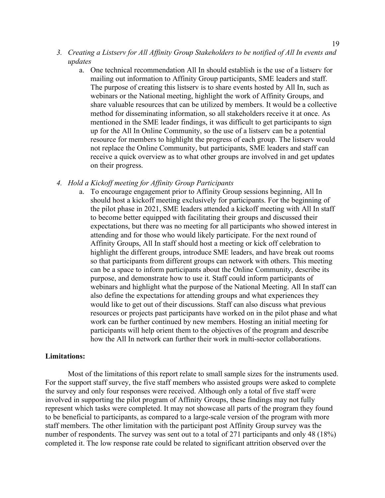- *3. Creating a Listserv for All Affinity Group Stakeholders to be notified of All In events and updates*
	- a. One technical recommendation All In should establish is the use of a listserv for mailing out information to Affinity Group participants, SME leaders and staff. The purpose of creating this listserv is to share events hosted by All In, such as webinars or the National meeting, highlight the work of Affinity Groups, and share valuable resources that can be utilized by members. It would be a collective method for disseminating information, so all stakeholders receive it at once. As mentioned in the SME leader findings, it was difficult to get participants to sign up for the All In Online Community, so the use of a listserv can be a potential resource for members to highlight the progress of each group. The listserv would not replace the Online Community, but participants, SME leaders and staff can receive a quick overview as to what other groups are involved in and get updates on their progress.

### *4. Hold a Kickoff meeting for Affinity Group Participants*

a. To encourage engagement prior to Affinity Group sessions beginning, All In should host a kickoff meeting exclusively for participants. For the beginning of the pilot phase in 2021, SME leaders attended a kickoff meeting with All In staff to become better equipped with facilitating their groups and discussed their expectations, but there was no meeting for all participants who showed interest in attending and for those who would likely participate. For the next round of Affinity Groups, All In staff should host a meeting or kick off celebration to highlight the different groups, introduce SME leaders, and have break out rooms so that participants from different groups can network with others. This meeting can be a space to inform participants about the Online Community, describe its purpose, and demonstrate how to use it. Staff could inform participants of webinars and highlight what the purpose of the National Meeting. All In staff can also define the expectations for attending groups and what experiences they would like to get out of their discussions. Staff can also discuss what previous resources or projects past participants have worked on in the pilot phase and what work can be further continued by new members. Hosting an initial meeting for participants will help orient them to the objectives of the program and describe how the All In network can further their work in multi-sector collaborations.

## **Limitations:**

Most of the limitations of this report relate to small sample sizes for the instruments used. For the support staff survey, the five staff members who assisted groups were asked to complete the survey and only four responses were received. Although only a total of five staff were involved in supporting the pilot program of Affinity Groups, these findings may not fully represent which tasks were completed. It may not showcase all parts of the program they found to be beneficial to participants, as compared to a large-scale version of the program with more staff members. The other limitation with the participant post Affinity Group survey was the number of respondents. The survey was sent out to a total of 271 participants and only 48 (18%) completed it. The low response rate could be related to significant attrition observed over the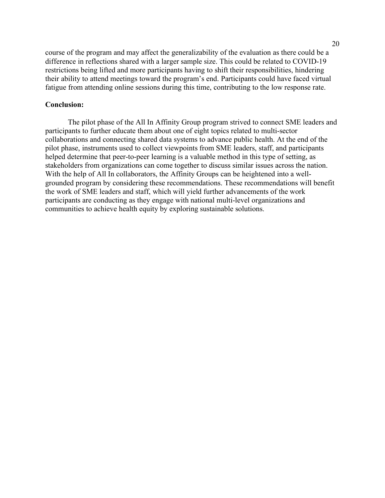course of the program and may affect the generalizability of the evaluation as there could be a difference in reflections shared with a larger sample size. This could be related to COVID-19 restrictions being lifted and more participants having to shift their responsibilities, hindering their ability to attend meetings toward the program's end. Participants could have faced virtual fatigue from attending online sessions during this time, contributing to the low response rate.

## **Conclusion:**

The pilot phase of the All In Affinity Group program strived to connect SME leaders and participants to further educate them about one of eight topics related to multi-sector collaborations and connecting shared data systems to advance public health. At the end of the pilot phase, instruments used to collect viewpoints from SME leaders, staff, and participants helped determine that peer-to-peer learning is a valuable method in this type of setting, as stakeholders from organizations can come together to discuss similar issues across the nation. With the help of All In collaborators, the Affinity Groups can be heightened into a wellgrounded program by considering these recommendations. These recommendations will benefit the work of SME leaders and staff, which will yield further advancements of the work participants are conducting as they engage with national multi-level organizations and communities to achieve health equity by exploring sustainable solutions.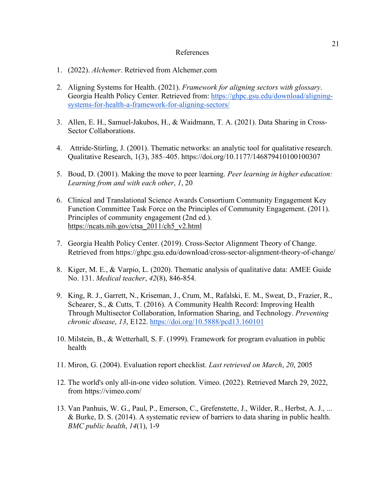### References

- 1. (2022). *Alchemer*. Retrieved from Alchemer.com
- 2. Aligning Systems for Health. (2021). *Framework for aligning sectors with glossary*. Georgia Health Policy Center. Retrieved from: [https://ghpc.gsu.edu/download/aligning](https://ghpc.gsu.edu/download/aligning-systems-for-health-a-framework-for-aligning-sectors/)[systems-for-health-a-framework-for-aligning-sectors/](https://ghpc.gsu.edu/download/aligning-systems-for-health-a-framework-for-aligning-sectors/)
- 3. Allen, E. H., Samuel-Jakubos, H., & Waidmann, T. A. (2021). Data Sharing in Cross-Sector Collaborations.
- 4. Attride-Stirling, J. (2001). Thematic networks: an analytic tool for qualitative research. Qualitative Research, 1(3), 385–405. https://doi.org/10.1177/146879410100100307
- 5. Boud, D. (2001). Making the move to peer learning. *Peer learning in higher education: Learning from and with each other*, *1*, 20
- 6. Clinical and Translational Science Awards Consortium Community Engagement Key Function Committee Task Force on the Principles of Community Engagement. (2011). Principles of community engagement (2nd ed.). [https://ncats.nih.gov/ctsa\\_2011/ch5\\_v2.html](https://ncats.nih.gov/ctsa_2011/ch5_v2.html)
- 7. Georgia Health Policy Center. (2019). Cross-Sector Alignment Theory of Change. Retrieved from <https://ghpc.gsu.edu/download/cross-sector-alignment-theory-of-change/>
- 8. Kiger, M. E., & Varpio, L. (2020). Thematic analysis of qualitative data: AMEE Guide No. 131. *Medical teacher*, *42*(8), 846-854.
- 9. King, R. J., Garrett, N., Kriseman, J., Crum, M., Rafalski, E. M., Sweat, D., Frazier, R., Schearer, S., & Cutts, T. (2016). A Community Health Record: Improving Health Through Multisector Collaboration, Information Sharing, and Technology. *Preventing chronic disease*, *13*, E122.<https://doi.org/10.5888/pcd13.160101>
- 10. Milstein, B., & Wetterhall, S. F. (1999). Framework for program evaluation in public health
- 11. Miron, G. (2004). Evaluation report checklist. *Last retrieved on March*, *20*, 2005
- 12. The world's only all-in-one video solution. Vimeo. (2022). Retrieved March 29, 2022, from https://vimeo.com/
- 13. Van Panhuis, W. G., Paul, P., Emerson, C., Grefenstette, J., Wilder, R., Herbst, A. J., ... & Burke, D. S. (2014). A systematic review of barriers to data sharing in public health. *BMC public health*, *14*(1), 1-9